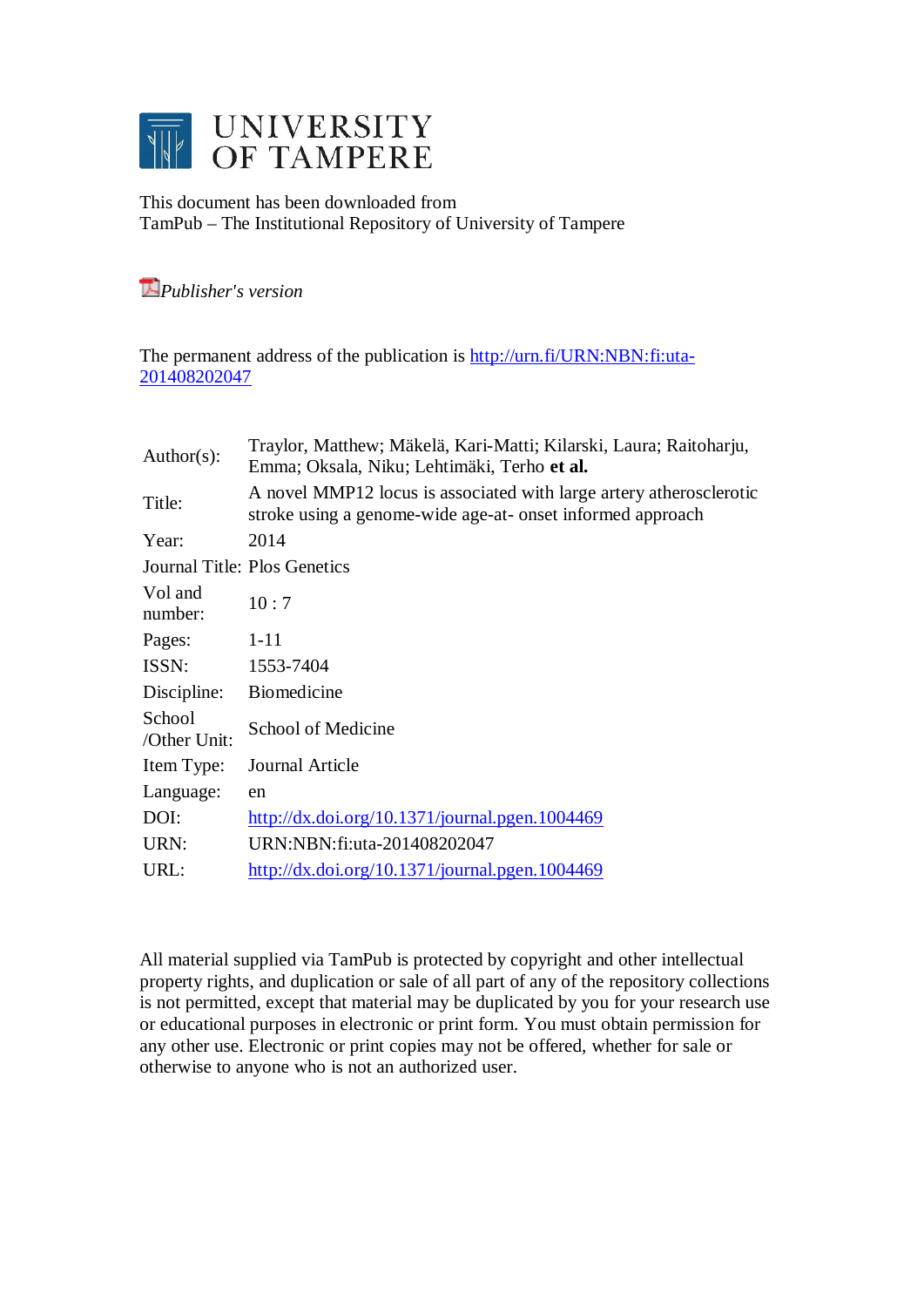

This document has been downloaded from TamPub – The Institutional Repository of University of Tampere

# *Publisher's version*

The permanent address of the publication is [http://urn.fi/URN:NBN:fi:uta-](http://urn.fi/URN:NBN:fi:uta-201408202047)[201408202047](http://urn.fi/URN:NBN:fi:uta-201408202047)

| $Author(s)$ :          | Traylor, Matthew; Mäkelä, Kari-Matti; Kilarski, Laura; Raitoharju,<br>Emma; Oksala, Niku; Lehtimäki, Terho et al.                 |  |  |  |  |
|------------------------|-----------------------------------------------------------------------------------------------------------------------------------|--|--|--|--|
| Title:                 | A novel MMP12 locus is associated with large artery atherosclerotic<br>stroke using a genome-wide age-at- onset informed approach |  |  |  |  |
| Year:                  | 2014                                                                                                                              |  |  |  |  |
|                        | Journal Title: Plos Genetics                                                                                                      |  |  |  |  |
| Vol and<br>number:     | 10:7                                                                                                                              |  |  |  |  |
| Pages:                 | $1 - 11$                                                                                                                          |  |  |  |  |
| ISSN:                  | 1553-7404                                                                                                                         |  |  |  |  |
| Discipline:            | <b>Biomedicine</b>                                                                                                                |  |  |  |  |
| School<br>/Other Unit: | School of Medicine                                                                                                                |  |  |  |  |
| Item Type:             | Journal Article                                                                                                                   |  |  |  |  |
| Language:              | en                                                                                                                                |  |  |  |  |
| DOI:                   | $\frac{http://dx.doi.org/10.1371/journal.pgen.1004469}{http://dx.doi.org/10.1371/journal.pgen.1004469}$                           |  |  |  |  |
| URN:                   | URN:NBN:fi:uta-201408202047                                                                                                       |  |  |  |  |
| URL:                   | $\frac{http://dx.doi.org/10.1371/journal.pgen.1004469}{http://dx.doi.org/10.1371/journal.pgen.1004469}$                           |  |  |  |  |

All material supplied via TamPub is protected by copyright and other intellectual property rights, and duplication or sale of all part of any of the repository collections is not permitted, except that material may be duplicated by you for your research use or educational purposes in electronic or print form. You must obtain permission for any other use. Electronic or print copies may not be offered, whether for sale or otherwise to anyone who is not an authorized user.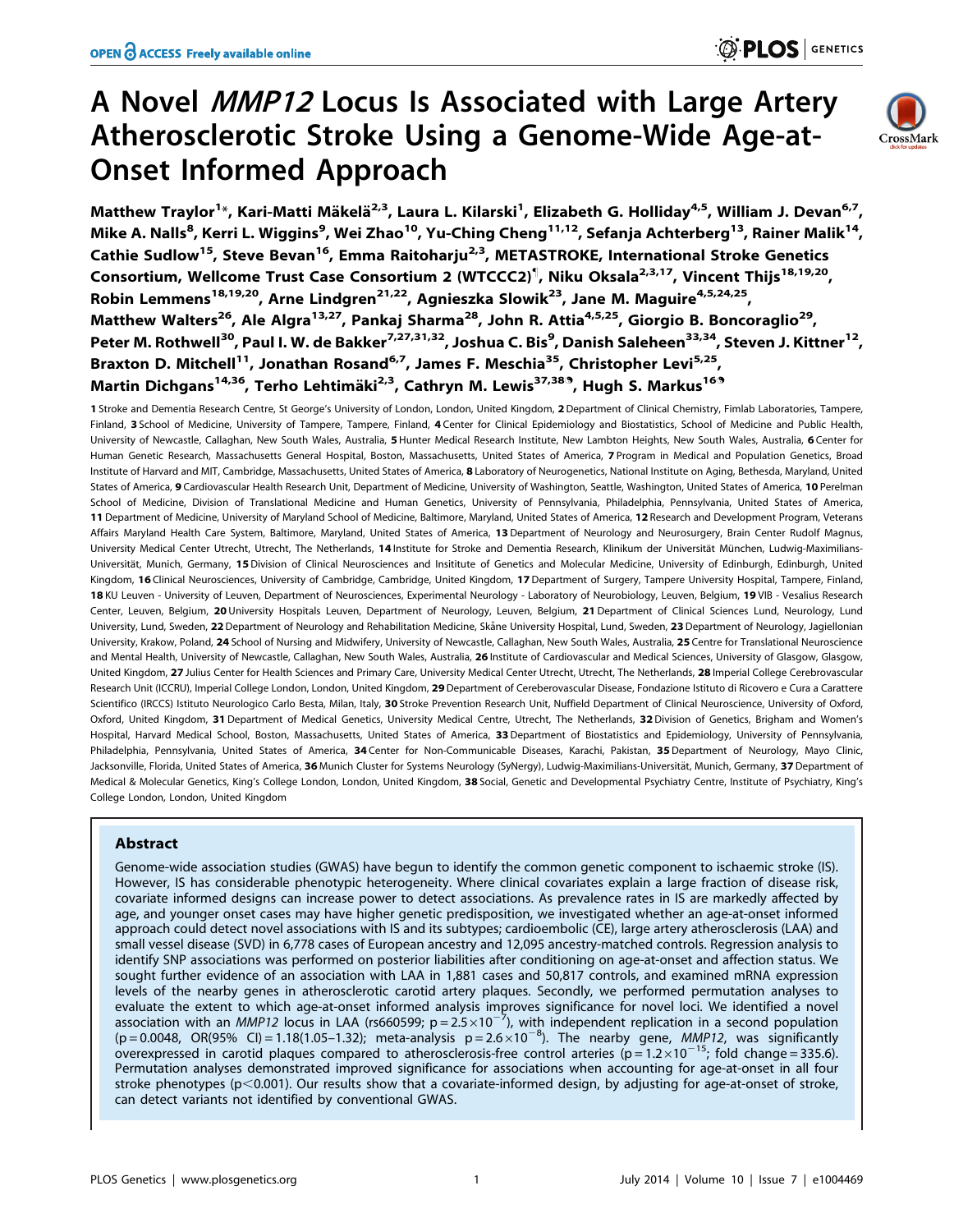# A Novel MMP12 Locus Is Associated with Large Artery Atherosclerotic Stroke Using a Genome-Wide Age-at-Onset Informed Approach



Matthew Traylor<sup>1</sup>\*, Kari-Matti Mäkelä<sup>2,3</sup>, Laura L. Kilarski<sup>1</sup>, Elizabeth G. Holliday<sup>4,5</sup>, William J. Devan<sup>6,7</sup>, Mike A. Nalls<sup>8</sup>, Kerri L. Wiggins<sup>9</sup>, Wei Zhao<sup>10</sup>, Yu-Ching Cheng<sup>11,12</sup>, Sefanja Achterberg<sup>13</sup>, Rainer Malik<sup>14</sup>, Cathie Sudlow<sup>15</sup>, Steve Bevan<sup>16</sup>, Emma Raitoharju<sup>2,3</sup>, METASTROKE, International Stroke Genetics Consortium, Wellcome Trust Case Consortium 2 (WTCCC2)<sup>¶</sup>, Niku Oksala<sup>2,3,17</sup>, Vincent Thijs<sup>18,19,20</sup>, Robin Lemmens<sup>18,19,20</sup>, Arne Lindgren<sup>21,22</sup>, Agnieszka Slowik<sup>23</sup>, Jane M. Maguire<sup>4,5,24,25</sup>, Matthew Walters<sup>26</sup>, Ale Algra<sup>13,27</sup>, Pankaj Sharma<sup>28</sup>, John R. Attia<sup>4,5,25</sup>, Giorgio B. Boncoraglio<sup>29</sup>, Peter M. Rothwell<sup>30</sup>, Paul I. W. de Bakker<sup>7,27,31,32</sup>, Joshua C. Bis<sup>9</sup>, Danish Saleheen<sup>33,34</sup>, Steven J. Kittner<sup>12</sup>, Braxton D. Mitchell<sup>11</sup>, Jonathan Rosand<sup>6,7</sup>, James F. Meschia<sup>35</sup>, Christopher Levi<sup>5,25</sup>, Martin Dichgans<sup>14,36</sup>, Terho Lehtimäki<sup>2,3</sup>, Cathryn M. Lewis<sup>37,389</sup>, Hugh S. Markus<sup>169</sup>

1 Stroke and Dementia Research Centre, St George's University of London, London, United Kingdom, 2Department of Clinical Chemistry, Fimlab Laboratories, Tampere, Finland, 3 School of Medicine, University of Tampere, Tampere, Finland, 4 Center for Clinical Epidemiology and Biostatistics, School of Medicine and Public Health, University of Newcastle, Callaghan, New South Wales, Australia, 5 Hunter Medical Research Institute, New Lambton Heights, New South Wales, Australia, 6 Center for Human Genetic Research, Massachusetts General Hospital, Boston, Massachusetts, United States of America, 7 Program in Medical and Population Genetics, Broad Institute of Harvard and MIT, Cambridge, Massachusetts, United States of America, 8 Laboratory of Neurogenetics, National Institute on Aging, Bethesda, Maryland, United States of America, 9 Cardiovascular Health Research Unit, Department of Medicine, University of Washington, Seattle, Washington, United States of America, 10 Perelman School of Medicine, Division of Translational Medicine and Human Genetics, University of Pennsylvania, Philadelphia, Pennsylvania, United States of America, 11 Department of Medicine, University of Maryland School of Medicine, Baltimore, Maryland, United States of America, 12 Research and Development Program, Veterans Affairs Maryland Health Care System, Baltimore, Maryland, United States of America, 13 Department of Neurology and Neurosurgery, Brain Center Rudolf Magnus, University Medical Center Utrecht, Utrecht, The Netherlands, 14 Institute for Stroke and Dementia Research, Klinikum der Universität München, Ludwig-Maximilians-Universität, Munich, Germany, 15 Division of Clinical Neurosciences and Insititute of Genetics and Molecular Medicine, University of Edinburgh, Edinburgh, United Kingdom, 16 Clinical Neurosciences, University of Cambridge, Cambridge, United Kingdom, 17 Department of Surgery, Tampere University Hospital, Tampere, Finland, 18 KU Leuven - University of Leuven, Department of Neurosciences, Experimental Neurology - Laboratory of Neurobiology, Leuven, Belgium, 19 VIB - Vesalius Research Center, Leuven, Belgium, 20 University Hospitals Leuven, Department of Neurology, Leuven, Belgium, 21 Department of Clinical Sciences Lund, Neurology, Lund University, Lund, Sweden, 22 Department of Neurology and Rehabilitation Medicine, Skåne University Hospital, Lund, Sweden, 23 Department of Neurology, Jagiellonian University, Krakow, Poland, 24 School of Nursing and Midwifery, University of Newcastle, Callaghan, New South Wales, Australia, 25 Centre for Translational Neuroscience and Mental Health, University of Newcastle, Callaghan, New South Wales, Australia, 26 Institute of Cardiovascular and Medical Sciences, University of Glasgow, Glasgow, United Kingdom, 27 Julius Center for Health Sciences and Primary Care, University Medical Center Utrecht, Utrecht, The Netherlands, 28 Imperial College Cerebrovascular Research Unit (ICCRU), Imperial College London, London, United Kingdom, 29 Department of Cereberovascular Disease, Fondazione Istituto di Ricovero e Cura a Carattere Scientifico (IRCCS) Istituto Neurologico Carlo Besta, Milan, Italy, 30 Stroke Prevention Research Unit, Nuffield Department of Clinical Neuroscience, University of Oxford, Oxford, United Kingdom, 31 Department of Medical Genetics, University Medical Centre, Utrecht, The Netherlands, 32 Division of Genetics, Brigham and Women's Hospital, Harvard Medical School, Boston, Massachusetts, United States of America, 33 Department of Biostatistics and Epidemiology, University of Pennsylvania, Philadelphia, Pennsylvania, United States of America, 34 Center for Non-Communicable Diseases, Karachi, Pakistan, 35 Department of Neurology, Mayo Clinic, Jacksonville, Florida, United States of America, 36 Munich Cluster for Systems Neurology (SyNergy), Ludwig-Maximilians-Universität, Munich, Germany, 37 Department of Medical & Molecular Genetics, King's College London, London, United Kingdom, 38 Social, Genetic and Developmental Psychiatry Centre, Institute of Psychiatry, King's College London, London, United Kingdom

# Abstract

Genome-wide association studies (GWAS) have begun to identify the common genetic component to ischaemic stroke (IS). However, IS has considerable phenotypic heterogeneity. Where clinical covariates explain a large fraction of disease risk, covariate informed designs can increase power to detect associations. As prevalence rates in IS are markedly affected by age, and younger onset cases may have higher genetic predisposition, we investigated whether an age-at-onset informed approach could detect novel associations with IS and its subtypes; cardioembolic (CE), large artery atherosclerosis (LAA) and small vessel disease (SVD) in 6,778 cases of European ancestry and 12,095 ancestry-matched controls. Regression analysis to identify SNP associations was performed on posterior liabilities after conditioning on age-at-onset and affection status. We sought further evidence of an association with LAA in 1,881 cases and 50,817 controls, and examined mRNA expression levels of the nearby genes in atherosclerotic carotid artery plaques. Secondly, we performed permutation analyses to evaluate the extent to which age-at-onset informed analysis improves significance for novel loci. We identified a novel association with an MMP12 locus in LAA (rs660599;  $p = 2.5 \times 10^{-7}$ ), with independent replication in a second population  $(p=0.0048, \text{ OR}(95\% \text{ Cl})=1.18(1.05-1.32); \text{ meta-analysis } p=2.6\times10^{-8}).$  The nearby gene, *MMP12*, was significantly overexpressed in carotid plaques compared to atherosclerosis-free control arteries ( $p = 1.2 \times 10^{-15}$ ; fold change = 335.6). Permutation analyses demonstrated improved significance for associations when accounting for age-at-onset in all four stroke phenotypes (p<0.001). Our results show that a covariate-informed design, by adjusting for age-at-onset of stroke, can detect variants not identified by conventional GWAS.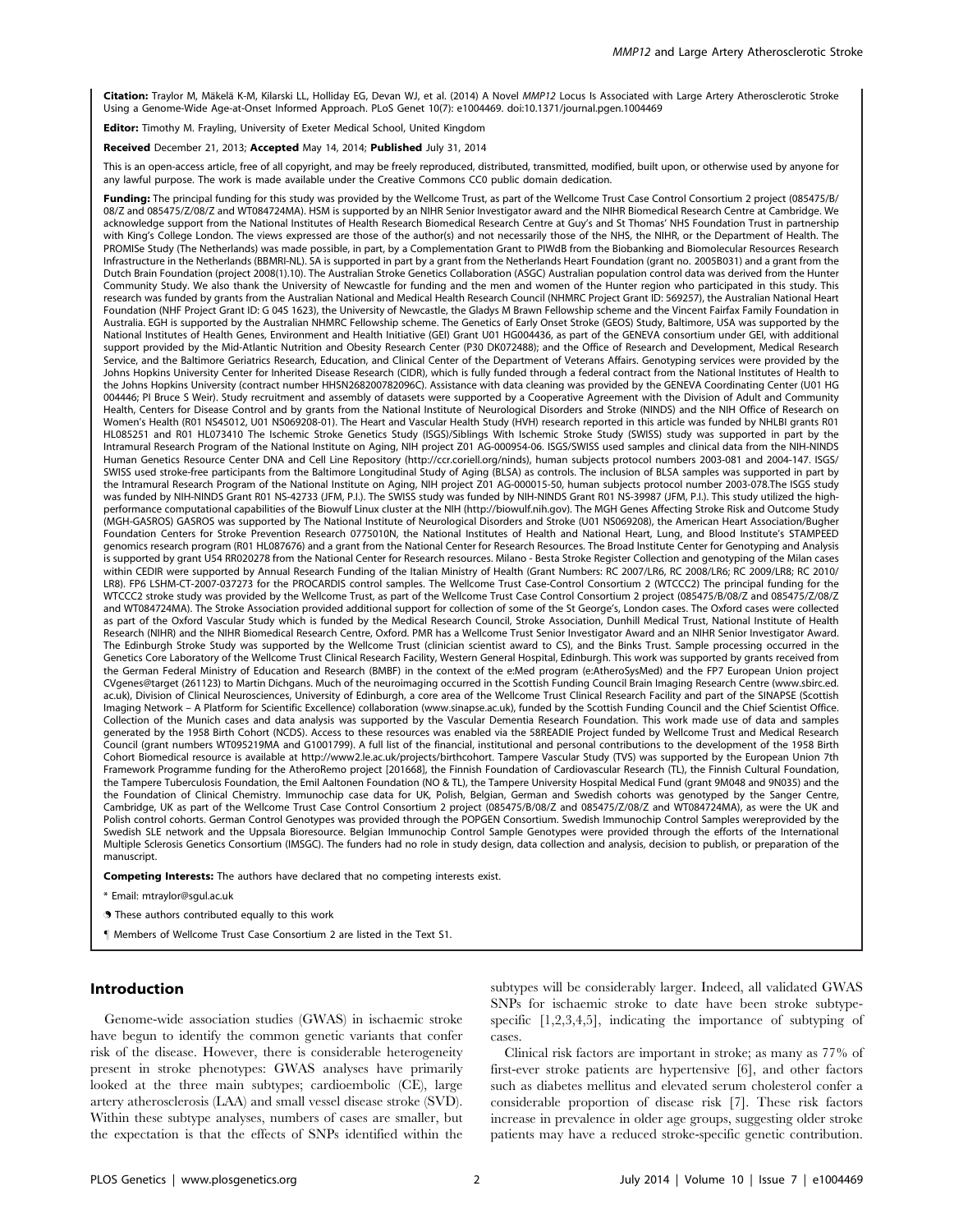Citation: Traylor M, Mäkelä K-M, Kilarski LL, Holliday EG, Devan WJ, et al. (2014) A Novel MMP12 Locus Is Associated with Large Artery Atherosclerotic Stroke Using a Genome-Wide Age-at-Onset Informed Approach. PLoS Genet 10(7): e1004469. doi:10.1371/journal.pgen.1004469

**Editor:** Timothy M. Frayling, University of Exeter Medical School, United Kingdom

#### Received December 21, 2013; Accepted May 14, 2014; Published July 31, 2014

This is an open-access article, free of all copyright, and may be freely reproduced, distributed, transmitted, modified, built upon, or otherwise used by anyone for any lawful purpose. The work is made available under the Creative Commons CC0 public domain dedication.

Funding: The principal funding for this study was provided by the Wellcome Trust, as part of the Wellcome Trust Case Control Consortium 2 project (085475/B/ 08/Z and 085475/Z/08/Z and WT084724MA). HSM is supported by an NIHR Senior Investigator award and the NIHR Biomedical Research Centre at Cambridge. We acknowledge support from the National Institutes of Health Research Biomedical Research Centre at Guy's and St Thomas' NHS Foundation Trust in partnership with King's College London. The views expressed are those of the author(s) and not necessarily those of the NHS, the NIHR, or the Department of Health. The PROMISe Study (The Netherlands) was made possible, in part, by a Complementation Grant to PIWdB from the Biobanking and Biomolecular Resources Research Infrastructure in the Netherlands (BBMRI-NL). SA is supported in part by a grant from the Netherlands Heart Foundation (grant no. 2005B031) and a grant from the Dutch Brain Foundation (project 2008(1).10). The Australian Stroke Genetics Collaboration (ASGC) Australian population control data was derived from the Hunter Community Study. We also thank the University of Newcastle for funding and the men and women of the Hunter region who participated in this study. This research was funded by grants from the Australian National and Medical Health Research Council (NHMRC Project Grant ID: 569257), the Australian National Heart Foundation (NHF Project Grant ID: G 04S 1623), the University of Newcastle, the Gladys M Brawn Fellowship scheme and the Vincent Fairfax Family Foundation in Australia. EGH is supported by the Australian NHMRC Fellowship scheme. The Genetics of Early Onset Stroke (GEOS) Study, Baltimore, USA was supported by the National Institutes of Health Genes, Environment and Health Initiative (GEI) Grant U01 HG004436, as part of the GENEVA consortium under GEI, with additional support provided by the Mid-Atlantic Nutrition and Obesity Research Center (P30 DK072488); and the Office of Research and Development, Medical Research Service, and the Baltimore Geriatrics Research, Education, and Clinical Center of the Department of Veterans Affairs. Genotyping services were provided by the Johns Hopkins University Center for Inherited Disease Research (CIDR), which is fully funded through a federal contract from the National Institutes of Health to the Johns Hopkins University (contract number HHSN268200782096C). Assistance with data cleaning was provided by the GENEVA Coordinating Center (U01 HG 004446; PI Bruce S Weir). Study recruitment and assembly of datasets were supported by a Cooperative Agreement with the Division of Adult and Community Health, Centers for Disease Control and by grants from the National Institute of Neurological Disorders and Stroke (NINDS) and the NIH Office of Research on Women's Health (R01 NS45012, U01 NS069208-01). The Heart and Vascular Health Study (HVH) research reported in this article was funded by NHLBI grants R01 HL085251 and R01 HL073410 The Ischemic Stroke Genetics Study (ISGS)/Siblings With Ischemic Stroke Study (SWISS) study was supported in part by the Intramural Research Program of the National Institute on Aging, NIH project Z01 AG-000954-06. ISGS/SWISS used samples and clinical data from the NIH-NINDS Human Genetics Resource Center DNA and Cell Line Repository (<http://ccr.coriell.org/ninds>), human subjects protocol numbers 2003-081 and 2004-147. ISGS/ SWISS used stroke-free participants from the Baltimore Longitudinal Study of Aging (BLSA) as controls. The inclusion of BLSA samples was supported in part by the Intramural Research Program of the National Institute on Aging, NIH project Z01 AG-000015-50, human subjects protocol number 2003-078.The ISGS study was funded by NIH-NINDS Grant R01 NS-42733 (JFM, P.I.). The SWISS study was funded by NIH-NINDS Grant R01 NS-39987 (JFM, P.I.). This study utilized the highperformance computational capabilities of the Biowulf Linux cluster at the NIH (<http://biowulf.nih.gov>). The MGH Genes Affecting Stroke Risk and Outcome Study (MGH-GASROS) GASROS was supported by The National Institute of Neurological Disorders and Stroke (U01 NS069208), the American Heart Association/Bugher Foundation Centers for Stroke Prevention Research 0775010N, the National Institutes of Health and National Heart, Lung, and Blood Institute's STAMPEED genomics research program (R01 HL087676) and a grant from the National Center for Research Resources. The Broad Institute Center for Genotyping and Analysis is supported by grant U54 RR020278 from the National Center for Research resources. Milano - Besta Stroke Register Collection and genotyping of the Milan cases within CEDIR were supported by Annual Research Funding of the Italian Ministry of Health (Grant Numbers: RC 2007/LR6, RC 2008/LR6; RC 2009/LR8; RC 2010/ LR8). FP6 LSHM-CT-2007-037273 for the PROCARDIS control samples. The Wellcome Trust Case-Control Consortium 2 (WTCCC2) The principal funding for the WTCCC2 stroke study was provided by the Wellcome Trust, as part of the Wellcome Trust Case Control Consortium 2 project (085475/B/08/Z and 085475/Z/08/Z and WT084724MA). The Stroke Association provided additional support for collection of some of the St George's, London cases. The Oxford cases were collected as part of the Oxford Vascular Study which is funded by the Medical Research Council, Stroke Association, Dunhill Medical Trust, National Institute of Health Research (NIHR) and the NIHR Biomedical Research Centre, Oxford. PMR has a Wellcome Trust Senior Investigator Award and an NIHR Senior Investigator Award. The Edinburgh Stroke Study was supported by the Wellcome Trust (clinician scientist award to CS), and the Binks Trust. Sample processing occurred in the Genetics Core Laboratory of the Wellcome Trust Clinical Research Facility, Western General Hospital, Edinburgh. This work was supported by grants received from the German Federal Ministry of Education and Research (BMBF) in the context of the e:Med program (e:AtheroSysMed) and the FP7 European Union project <CVgenes@target> (261123) to Martin Dichgans. Much of the neuroimaging occurred in the Scottish Funding Council Brain Imaging Research Centre ([www.sbirc.ed.](www.sbirc.ed.ac.uk) [ac.uk\)](www.sbirc.ed.ac.uk), Division of Clinical Neurosciences, University of Edinburgh, a core area of the Wellcome Trust Clinical Research Facility and part of the SINAPSE (Scottish Imaging Network – A Platform for Scientific Excellence) collaboration ([www.sinapse.ac.uk\)](www.sinapse.ac.uk), funded by the Scottish Funding Council and the Chief Scientist Office. Collection of the Munich cases and data analysis was supported by the Vascular Dementia Research Foundation. This work made use of data and samples generated by the 1958 Birth Cohort (NCDS). Access to these resources was enabled via the 58READIE Project funded by Wellcome Trust and Medical Research Council (grant numbers WT095219MA and G1001799). A full list of the financial, institutional and personal contributions to the development of the 1958 Birth Cohort Biomedical resource is available at [http://www2.le.ac.uk/projects/birthcohort.](http://www2.le.ac.uk/projects/birthcohort) Tampere Vascular Study (TVS) was supported by the European Union 7th Framework Programme funding for the AtheroRemo project [201668], the Finnish Foundation of Cardiovascular Research (TL), the Finnish Cultural Foundation, the Tampere Tuberculosis Foundation, the Emil Aaltonen Foundation (NO & TL), the Tampere University Hospital Medical Fund (grant 9M048 and 9N035) and the the Foundation of Clinical Chemistry. Immunochip case data for UK, Polish, Belgian, German and Swedish cohorts was genotyped by the Sanger Centre, Cambridge, UK as part of the Wellcome Trust Case Control Consortium 2 project (085475/B/08/Z and 085475/Z/08/Z and WT084724MA), as were the UK and Polish control cohorts. German Control Genotypes was provided through the POPGEN Consortium. Swedish Immunochip Control Samples wereprovided by the Swedish SLE network and the Uppsala Bioresource. Belgian Immunochip Control Sample Genotypes were provided through the efforts of the International Multiple Sclerosis Genetics Consortium (IMSGC). The funders had no role in study design, data collection and analysis, decision to publish, or preparation of the manuscript.

Competing Interests: The authors have declared that no competing interests exist.

\* Email: mtraylor@sgul.ac.uk

**.** These authors contributed equally to this work

" Members of Wellcome Trust Case Consortium 2 are listed in the Text S1.

# Introduction

Genome-wide association studies (GWAS) in ischaemic stroke have begun to identify the common genetic variants that confer risk of the disease. However, there is considerable heterogeneity present in stroke phenotypes: GWAS analyses have primarily looked at the three main subtypes; cardioembolic (CE), large artery atherosclerosis (LAA) and small vessel disease stroke (SVD). Within these subtype analyses, numbers of cases are smaller, but the expectation is that the effects of SNPs identified within the subtypes will be considerably larger. Indeed, all validated GWAS SNPs for ischaemic stroke to date have been stroke subtypespecific [1,2,3,4,5], indicating the importance of subtyping of cases.

Clinical risk factors are important in stroke; as many as 77% of first-ever stroke patients are hypertensive [6], and other factors such as diabetes mellitus and elevated serum cholesterol confer a considerable proportion of disease risk [7]. These risk factors increase in prevalence in older age groups, suggesting older stroke patients may have a reduced stroke-specific genetic contribution.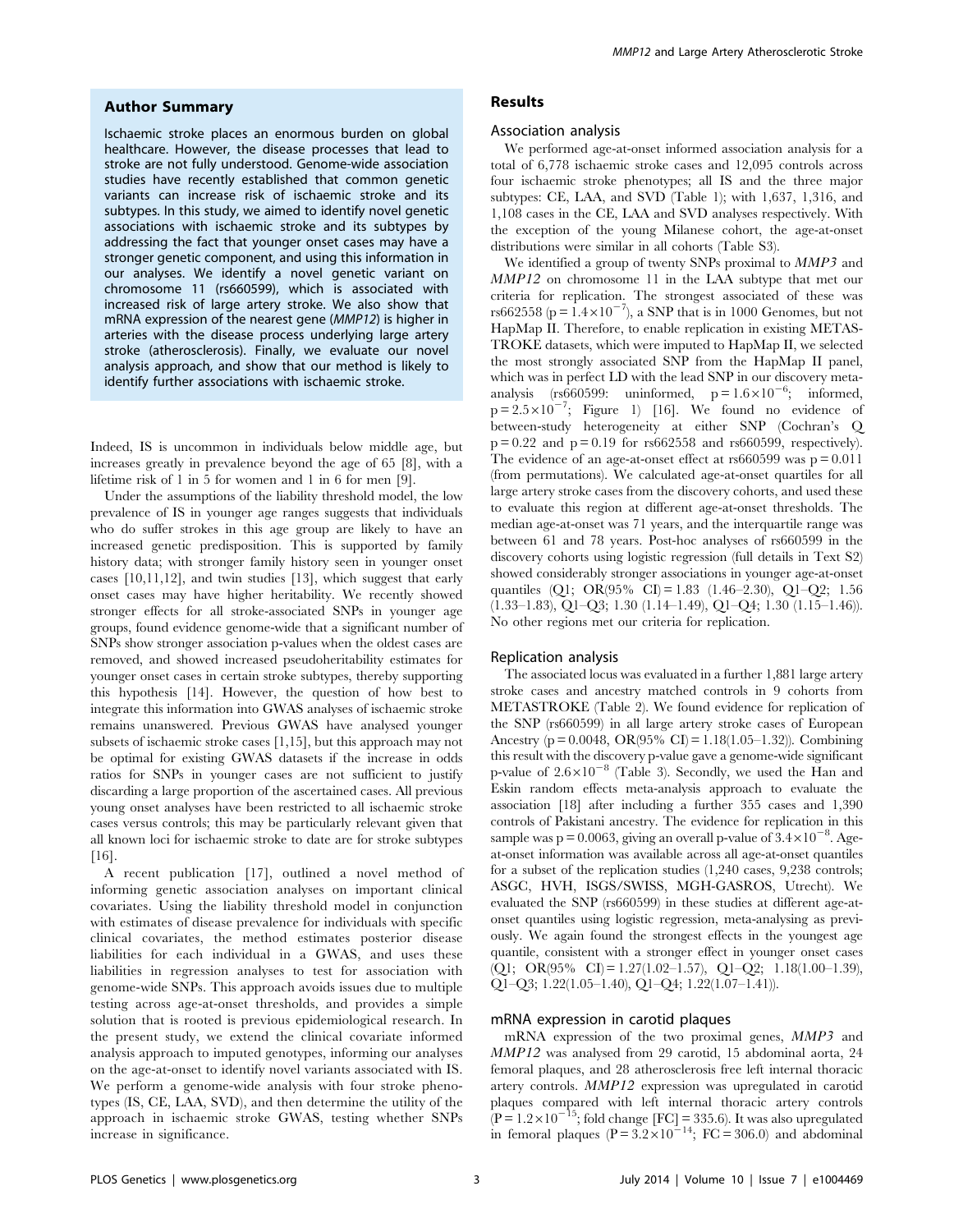#### Author Summary

Ischaemic stroke places an enormous burden on global healthcare. However, the disease processes that lead to stroke are not fully understood. Genome-wide association studies have recently established that common genetic variants can increase risk of ischaemic stroke and its subtypes. In this study, we aimed to identify novel genetic associations with ischaemic stroke and its subtypes by addressing the fact that younger onset cases may have a stronger genetic component, and using this information in our analyses. We identify a novel genetic variant on chromosome 11 (rs660599), which is associated with increased risk of large artery stroke. We also show that mRNA expression of the nearest gene (MMP12) is higher in arteries with the disease process underlying large artery stroke (atherosclerosis). Finally, we evaluate our novel analysis approach, and show that our method is likely to identify further associations with ischaemic stroke.

Indeed, IS is uncommon in individuals below middle age, but increases greatly in prevalence beyond the age of 65 [8], with a lifetime risk of 1 in 5 for women and 1 in 6 for men [9].

Under the assumptions of the liability threshold model, the low prevalence of IS in younger age ranges suggests that individuals who do suffer strokes in this age group are likely to have an increased genetic predisposition. This is supported by family history data; with stronger family history seen in younger onset cases [10,11,12], and twin studies [13], which suggest that early onset cases may have higher heritability. We recently showed stronger effects for all stroke-associated SNPs in younger age groups, found evidence genome-wide that a significant number of SNPs show stronger association p-values when the oldest cases are removed, and showed increased pseudoheritability estimates for younger onset cases in certain stroke subtypes, thereby supporting this hypothesis [14]. However, the question of how best to integrate this information into GWAS analyses of ischaemic stroke remains unanswered. Previous GWAS have analysed younger subsets of ischaemic stroke cases [1,15], but this approach may not be optimal for existing GWAS datasets if the increase in odds ratios for SNPs in younger cases are not sufficient to justify discarding a large proportion of the ascertained cases. All previous young onset analyses have been restricted to all ischaemic stroke cases versus controls; this may be particularly relevant given that all known loci for ischaemic stroke to date are for stroke subtypes [16].

A recent publication [17], outlined a novel method of informing genetic association analyses on important clinical covariates. Using the liability threshold model in conjunction with estimates of disease prevalence for individuals with specific clinical covariates, the method estimates posterior disease liabilities for each individual in a GWAS, and uses these liabilities in regression analyses to test for association with genome-wide SNPs. This approach avoids issues due to multiple testing across age-at-onset thresholds, and provides a simple solution that is rooted is previous epidemiological research. In the present study, we extend the clinical covariate informed analysis approach to imputed genotypes, informing our analyses on the age-at-onset to identify novel variants associated with IS. We perform a genome-wide analysis with four stroke phenotypes (IS, CE, LAA, SVD), and then determine the utility of the approach in ischaemic stroke GWAS, testing whether SNPs increase in significance.

# Results

#### Association analysis

We performed age-at-onset informed association analysis for a total of 6,778 ischaemic stroke cases and 12,095 controls across four ischaemic stroke phenotypes; all IS and the three major subtypes: CE, LAA, and SVD (Table 1); with 1,637, 1,316, and 1,108 cases in the CE, LAA and SVD analyses respectively. With the exception of the young Milanese cohort, the age-at-onset distributions were similar in all cohorts (Table S3).

We identified a group of twenty SNPs proximal to MMP3 and MMP12 on chromosome 11 in the LAA subtype that met our criteria for replication. The strongest associated of these was rs662558 (p =  $1.4 \times 10^{-7}$ ), a SNP that is in 1000 Genomes, but not HapMap II. Therefore, to enable replication in existing METAS-TROKE datasets, which were imputed to HapMap II, we selected the most strongly associated SNP from the HapMap II panel, which was in perfect LD with the lead SNP in our discovery metaanalysis (rs660599: uninformed,  $p = 1.6 \times 10^{-6}$ ; informed,  $p = 2.5 \times 10^{-7}$ ; Figure 1) [16]. We found no evidence of between-study heterogeneity at either SNP (Cochran's Q  $p = 0.22$  and  $p = 0.19$  for rs662558 and rs660599, respectively). The evidence of an age-at-onset effect at  $rs660599$  was  $p = 0.011$ (from permutations). We calculated age-at-onset quartiles for all large artery stroke cases from the discovery cohorts, and used these to evaluate this region at different age-at-onset thresholds. The median age-at-onset was 71 years, and the interquartile range was between 61 and 78 years. Post-hoc analyses of rs660599 in the discovery cohorts using logistic regression (full details in Text S2) showed considerably stronger associations in younger age-at-onset quantiles  $(Q1; OR(95\% CI) = 1.83 (1.46-2.30), Q1-Q2; 1.56$ (1.33–1.83), Q1–Q3; 1.30 (1.14–1.49), Q1–Q4; 1.30 (1.15–1.46)). No other regions met our criteria for replication.

#### Replication analysis

The associated locus was evaluated in a further 1,881 large artery stroke cases and ancestry matched controls in 9 cohorts from METASTROKE (Table 2). We found evidence for replication of the SNP (rs660599) in all large artery stroke cases of European Ancestry ( $p = 0.0048$ , OR( $95\%$  CI) = 1.18(1.05–1.32)). Combining this result with the discovery p-value gave a genome-wide significant p-value of  $2.6 \times 10^{-8}$  (Table 3). Secondly, we used the Han and Eskin random effects meta-analysis approach to evaluate the association [18] after including a further 355 cases and 1,390 controls of Pakistani ancestry. The evidence for replication in this sample was p = 0.0063, giving an overall p-value of  $3.4\times10^{-8}$ . Ageat-onset information was available across all age-at-onset quantiles for a subset of the replication studies (1,240 cases, 9,238 controls; ASGC, HVH, ISGS/SWISS, MGH-GASROS, Utrecht). We evaluated the SNP (rs660599) in these studies at different age-atonset quantiles using logistic regression, meta-analysing as previously. We again found the strongest effects in the youngest age quantile, consistent with a stronger effect in younger onset cases (Q1; OR(95% CI) = 1.27(1.02–1.57), Q1–Q2; 1.18(1.00–1.39), Q1–Q3; 1.22(1.05–1.40), Q1–Q4; 1.22(1.07–1.41)).

# mRNA expression in carotid plaques

mRNA expression of the two proximal genes, MMP3 and MMP12 was analysed from 29 carotid, 15 abdominal aorta, 24 femoral plaques, and 28 atherosclerosis free left internal thoracic artery controls. MMP12 expression was upregulated in carotid plaques compared with left internal thoracic artery controls  $(P=1.2\times10^{-15}$ ; fold change [FC] = 335.6). It was also upregulated in femoral plaques ( $P = 3.2 \times 10^{-14}$ ;  $FC = 306.0$ ) and abdominal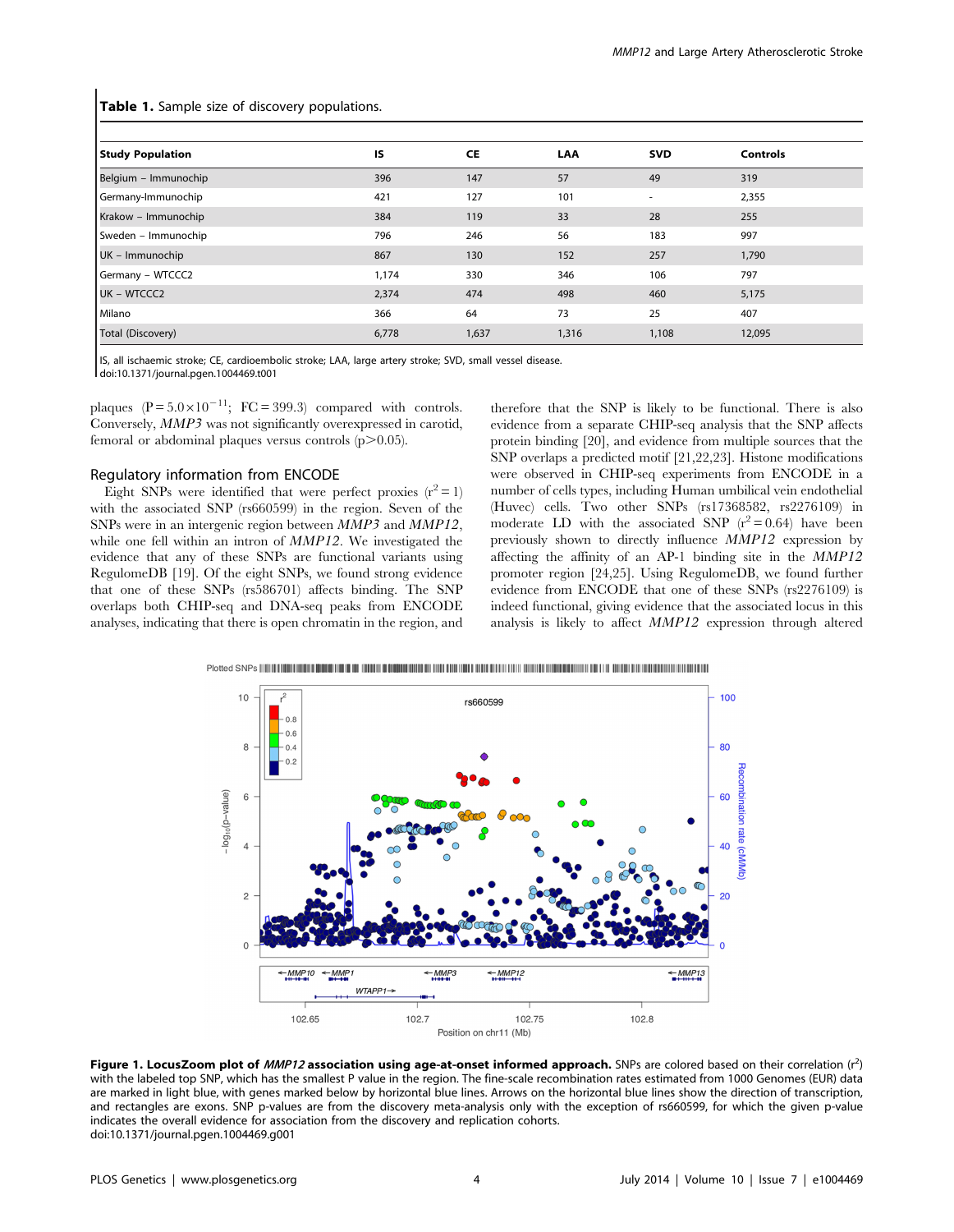| <b>Study Population</b> | IS    | CE    | <b>LAA</b> | <b>SVD</b>               | <b>Controls</b> |
|-------------------------|-------|-------|------------|--------------------------|-----------------|
| Belgium - Immunochip    | 396   | 147   | 57         | 49                       | 319             |
| Germany-Immunochip      | 421   | 127   | 101        | $\overline{\phantom{a}}$ | 2,355           |
| Krakow - Immunochip     | 384   | 119   | 33         | 28                       | 255             |
| Sweden - Immunochip     | 796   | 246   | 56         | 183                      | 997             |
| UK - Immunochip         | 867   | 130   | 152        | 257                      | 1,790           |
| Germany - WTCCC2        | 1,174 | 330   | 346        | 106                      | 797             |
| UK - WTCCC2             | 2,374 | 474   | 498        | 460                      | 5,175           |
| Milano                  | 366   | 64    | 73         | 25                       | 407             |
| Total (Discovery)       | 6,778 | 1,637 | 1,316      | 1,108                    | 12,095          |

Table 1. Sample size of discovery populations.

IS, all ischaemic stroke; CE, cardioembolic stroke; LAA, large artery stroke; SVD, small vessel disease. doi:10.1371/journal.pgen.1004469.t001

plaques  $(P = 5.0 \times 10^{-11}$ ; FC = 399.3) compared with controls. Conversely, MMP3 was not significantly overexpressed in carotid, femoral or abdominal plaques versus controls  $(p>0.05)$ .

### Regulatory information from ENCODE

Eight SNPs were identified that were perfect proxies  $(r^2 = 1)$ with the associated SNP (rs660599) in the region. Seven of the SNPs were in an intergenic region between MMP3 and MMP12, while one fell within an intron of MMP12. We investigated the evidence that any of these SNPs are functional variants using RegulomeDB [19]. Of the eight SNPs, we found strong evidence that one of these SNPs (rs586701) affects binding. The SNP overlaps both CHIP-seq and DNA-seq peaks from ENCODE analyses, indicating that there is open chromatin in the region, and therefore that the SNP is likely to be functional. There is also evidence from a separate CHIP-seq analysis that the SNP affects protein binding [20], and evidence from multiple sources that the SNP overlaps a predicted motif [21,22,23]. Histone modifications were observed in CHIP-seq experiments from ENCODE in a number of cells types, including Human umbilical vein endothelial (Huvec) cells. Two other SNPs (rs17368582, rs2276109) in moderate LD with the associated SNP  $(r^2 = 0.64)$  have been previously shown to directly influence MMP12 expression by affecting the affinity of an AP-1 binding site in the MMP12 promoter region [24,25]. Using RegulomeDB, we found further evidence from ENCODE that one of these SNPs (rs2276109) is indeed functional, giving evidence that the associated locus in this analysis is likely to affect MMP12 expression through altered





Figure 1. LocusZoom plot of *MMP12* association using age-at-onset informed approach. SNPs are colored based on their correlation (r<sup>2</sup>) with the labeled top SNP, which has the smallest P value in the region. The fine-scale recombination rates estimated from 1000 Genomes (EUR) data are marked in light blue, with genes marked below by horizontal blue lines. Arrows on the horizontal blue lines show the direction of transcription, and rectangles are exons. SNP p-values are from the discovery meta-analysis only with the exception of rs660599, for which the given p-value indicates the overall evidence for association from the discovery and replication cohorts. doi:10.1371/journal.pgen.1004469.g001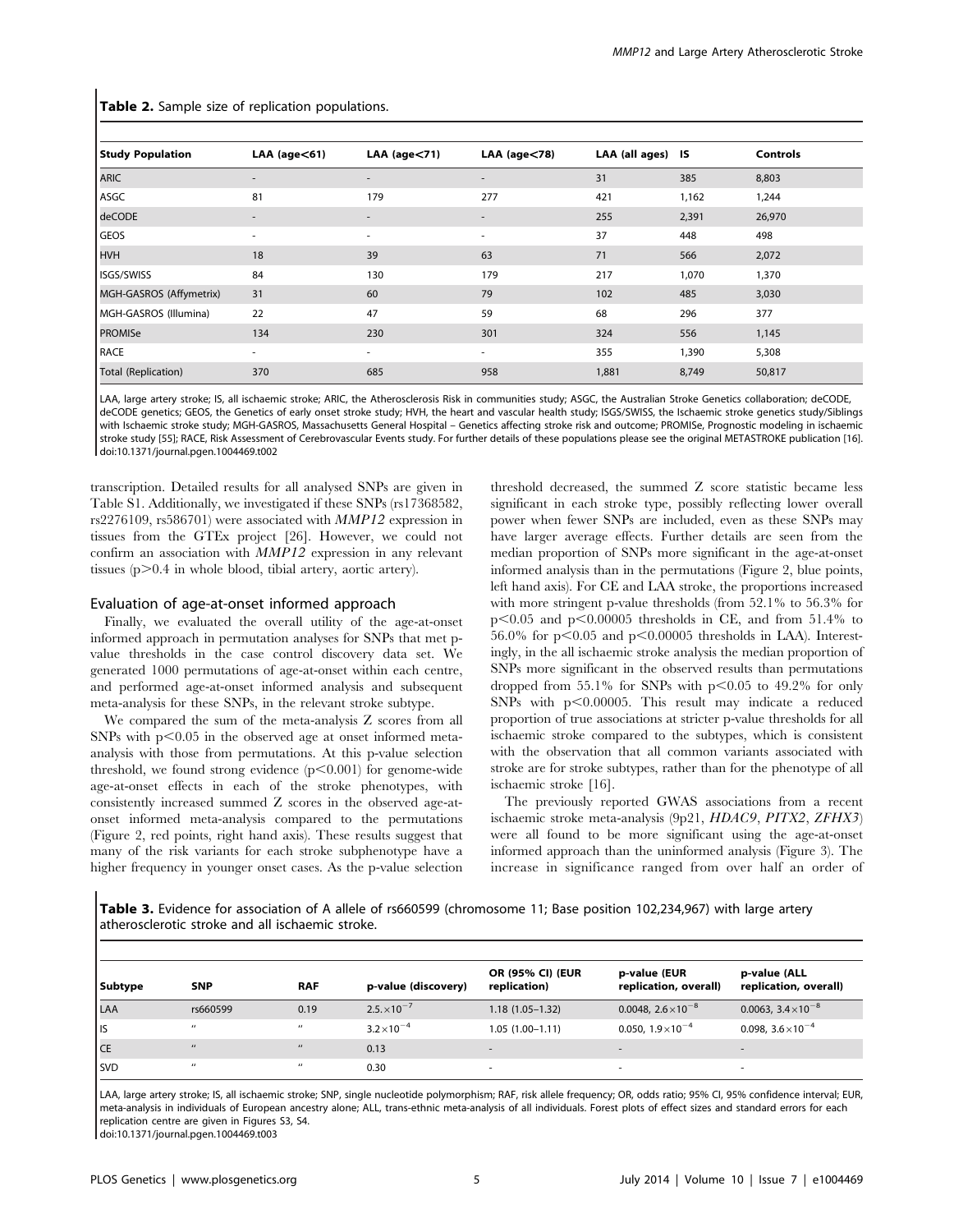| <b>Study Population</b> | $LAA$ (age $<$ 61)       | $LAA$ (age $<$ 71)       | $LAA$ (age $<$ 78)       | LAA (all ages) IS |       | <b>Controls</b> |
|-------------------------|--------------------------|--------------------------|--------------------------|-------------------|-------|-----------------|
| <b>ARIC</b>             |                          | $\overline{\phantom{a}}$ | $\overline{\phantom{a}}$ | 31                | 385   | 8,803           |
| ASGC                    | 81                       | 179                      | 277                      | 421               | 1,162 | 1,244           |
| deCODE                  | $\overline{\phantom{a}}$ | $\overline{a}$           | $\overline{\phantom{a}}$ | 255               | 2,391 | 26,970          |
| <b>GEOS</b>             | $\overline{\phantom{a}}$ | ٠                        |                          | 37                | 448   | 498             |
| <b>HVH</b>              | 18                       | 39                       | 63                       | 71                | 566   | 2,072           |
| ISGS/SWISS              | 84                       | 130                      | 179                      | 217               | 1,070 | 1,370           |
| MGH-GASROS (Affymetrix) | 31                       | 60                       | 79                       | 102               | 485   | 3,030           |
| MGH-GASROS (Illumina)   | 22                       | 47                       | 59                       | 68                | 296   | 377             |
| PROMISe                 | 134                      | 230                      | 301                      | 324               | 556   | 1,145           |
| RACE                    | ٠                        | ٠                        | $\sim$                   | 355               | 1,390 | 5,308           |
| Total (Replication)     | 370                      | 685                      | 958                      | 1,881             | 8,749 | 50,817          |

Table 2. Sample size of replication populations.

LAA, large artery stroke; IS, all ischaemic stroke; ARIC, the Atherosclerosis Risk in communities study; ASGC, the Australian Stroke Genetics collaboration; deCODE, deCODE genetics; GEOS, the Genetics of early onset stroke study; HVH, the heart and vascular health study; ISGS/SWISS, the Ischaemic stroke genetics study/Siblings with Ischaemic stroke study; MGH-GASROS, Massachusetts General Hospital – Genetics affecting stroke risk and outcome; PROMISe, Prognostic modeling in ischaemic stroke study [55]; RACE, Risk Assessment of Cerebrovascular Events study. For further details of these populations please see the original METASTROKE publication [16]. doi:10.1371/journal.pgen.1004469.t002

transcription. Detailed results for all analysed SNPs are given in Table S1. Additionally, we investigated if these SNPs (rs17368582, rs2276109, rs586701) were associated with MMP12 expression in tissues from the GTEx project [26]. However, we could not confirm an association with MMP12 expression in any relevant tissues  $(p>0.4$  in whole blood, tibial artery, aortic artery).

#### Evaluation of age-at-onset informed approach

Finally, we evaluated the overall utility of the age-at-onset informed approach in permutation analyses for SNPs that met pvalue thresholds in the case control discovery data set. We generated 1000 permutations of age-at-onset within each centre, and performed age-at-onset informed analysis and subsequent meta-analysis for these SNPs, in the relevant stroke subtype.

We compared the sum of the meta-analysis Z scores from all SNPs with  $p<0.05$  in the observed age at onset informed metaanalysis with those from permutations. At this p-value selection threshold, we found strong evidence  $(p<0.001)$  for genome-wide age-at-onset effects in each of the stroke phenotypes, with consistently increased summed Z scores in the observed age-atonset informed meta-analysis compared to the permutations (Figure 2, red points, right hand axis). These results suggest that many of the risk variants for each stroke subphenotype have a higher frequency in younger onset cases. As the p-value selection

threshold decreased, the summed Z score statistic became less significant in each stroke type, possibly reflecting lower overall power when fewer SNPs are included, even as these SNPs may have larger average effects. Further details are seen from the median proportion of SNPs more significant in the age-at-onset informed analysis than in the permutations (Figure 2, blue points, left hand axis). For CE and LAA stroke, the proportions increased with more stringent p-value thresholds (from 52.1% to 56.3% for  $p<0.05$  and  $p<0.00005$  thresholds in CE, and from 51.4% to 56.0% for  $p<0.05$  and  $p<0.00005$  thresholds in LAA). Interestingly, in the all ischaemic stroke analysis the median proportion of SNPs more significant in the observed results than permutations dropped from 55.1% for SNPs with  $p<0.05$  to 49.2% for only  $SNPs$  with  $p<0.00005$ . This result may indicate a reduced proportion of true associations at stricter p-value thresholds for all ischaemic stroke compared to the subtypes, which is consistent with the observation that all common variants associated with stroke are for stroke subtypes, rather than for the phenotype of all ischaemic stroke [16].

The previously reported GWAS associations from a recent ischaemic stroke meta-analysis (9p21, HDAC9, PITX2, ZFHX3) were all found to be more significant using the age-at-onset informed approach than the uninformed analysis (Figure 3). The increase in significance ranged from over half an order of

Table 3. Evidence for association of A allele of rs660599 (chromosome 11; Base position 102,234,967) with large artery atherosclerotic stroke and all ischaemic stroke.

| <b>Subtype</b> | <b>SNP</b>        | <b>RAF</b>        | p-value (discovery)  | OR (95% CI) (EUR<br>replication) | p-value (EUR<br>replication, overall) | p-value (ALL<br>replication, overall) |
|----------------|-------------------|-------------------|----------------------|----------------------------------|---------------------------------------|---------------------------------------|
| LAA            | rs660599          | 0.19              | $2.5 \times 10^{-7}$ | $1.18(1.05 - 1.32)$              | 0.0048, $2.6 \times 10^{-8}$          | 0.0063, $3.4 \times 10^{-8}$          |
| l is           | $^{\prime\prime}$ | $^{\prime\prime}$ | $3.2 \times 10^{-4}$ | $1.05(1.00-1.11)$                | 0.050, $1.9\times10^{-4}$             | 0.098, $3.6 \times 10^{-4}$           |
| CE             | $\prime$          | $^{\prime\prime}$ | 0.13                 | $\overline{\phantom{a}}$         |                                       |                                       |
| <b>SVD</b>     | $^{\prime\prime}$ | $^{\prime\prime}$ | 0.30                 | $\sim$                           | -                                     | -                                     |

LAA, large artery stroke; IS, all ischaemic stroke; SNP, single nucleotide polymorphism; RAF, risk allele frequency; OR, odds ratio; 95% CI, 95% confidence interval; EUR, meta-analysis in individuals of European ancestry alone; ALL, trans-ethnic meta-analysis of all individuals. Forest plots of effect sizes and standard errors for each replication centre are given in Figures S3, S4.

doi:10.1371/journal.pgen.1004469.t003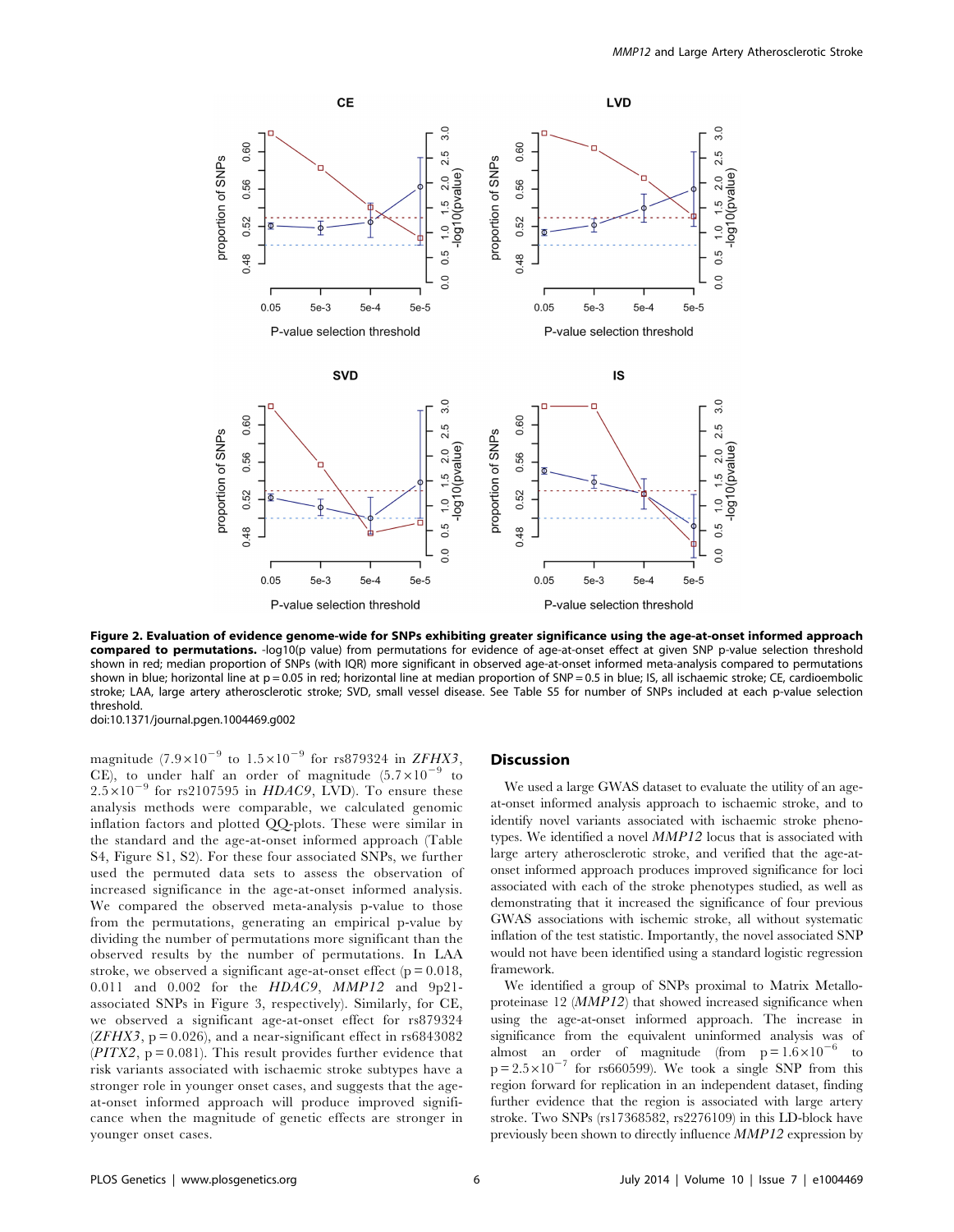

Figure 2. Evaluation of evidence genome-wide for SNPs exhibiting greater significance using the age-at-onset informed approach compared to permutations. -log10(p value) from permutations for evidence of age-at-onset effect at given SNP p-value selection threshold shown in red; median proportion of SNPs (with IQR) more significant in observed age-at-onset informed meta-analysis compared to permutations shown in blue; horizontal line at  $p = 0.05$  in red; horizontal line at median proportion of SNP = 0.5 in blue; IS, all ischaemic stroke; CE, cardioembolic stroke; LAA, large artery atherosclerotic stroke; SVD, small vessel disease. See Table S5 for number of SNPs included at each p-value selection threshold.

doi:10.1371/journal.pgen.1004469.g002

magnitude  $(7.9 \times 10^{-9}$  to  $1.5 \times 10^{-9}$  for rs879324 in ZFHX3, CE), to under half an order of magnitude  $(5.7\times10^{-9}$  to  $2.5 \times 10^{-9}$  for rs2107595 in HDAC9, LVD). To ensure these analysis methods were comparable, we calculated genomic inflation factors and plotted QQ-plots. These were similar in the standard and the age-at-onset informed approach (Table S4, Figure S1, S2). For these four associated SNPs, we further used the permuted data sets to assess the observation of increased significance in the age-at-onset informed analysis. We compared the observed meta-analysis p-value to those from the permutations, generating an empirical p-value by dividing the number of permutations more significant than the observed results by the number of permutations. In LAA stroke, we observed a significant age-at-onset effect  $(p = 0.018,$ 0.011 and 0.002 for the HDAC9, MMP12 and 9p21 associated SNPs in Figure 3, respectively). Similarly, for CE, we observed a significant age-at-onset effect for rs879324  $(ZFHX3, p = 0.026)$ , and a near-significant effect in rs6843082 ( $PITX2$ ,  $p = 0.081$ ). This result provides further evidence that risk variants associated with ischaemic stroke subtypes have a stronger role in younger onset cases, and suggests that the ageat-onset informed approach will produce improved significance when the magnitude of genetic effects are stronger in younger onset cases.

# Discussion

We used a large GWAS dataset to evaluate the utility of an ageat-onset informed analysis approach to ischaemic stroke, and to identify novel variants associated with ischaemic stroke phenotypes. We identified a novel MMP12 locus that is associated with large artery atherosclerotic stroke, and verified that the age-atonset informed approach produces improved significance for loci associated with each of the stroke phenotypes studied, as well as demonstrating that it increased the significance of four previous GWAS associations with ischemic stroke, all without systematic inflation of the test statistic. Importantly, the novel associated SNP would not have been identified using a standard logistic regression framework.

We identified a group of SNPs proximal to Matrix Metalloproteinase 12 (MMP12) that showed increased significance when using the age-at-onset informed approach. The increase in significance from the equivalent uninformed analysis was of almost an order of magnitude (from  $p = 1.6 \times 10^{-6}$  to  $p = 2.5 \times 10^{-7}$  for rs660599). We took a single SNP from this region forward for replication in an independent dataset, finding further evidence that the region is associated with large artery stroke. Two SNPs (rs17368582, rs2276109) in this LD-block have previously been shown to directly influence MMP12 expression by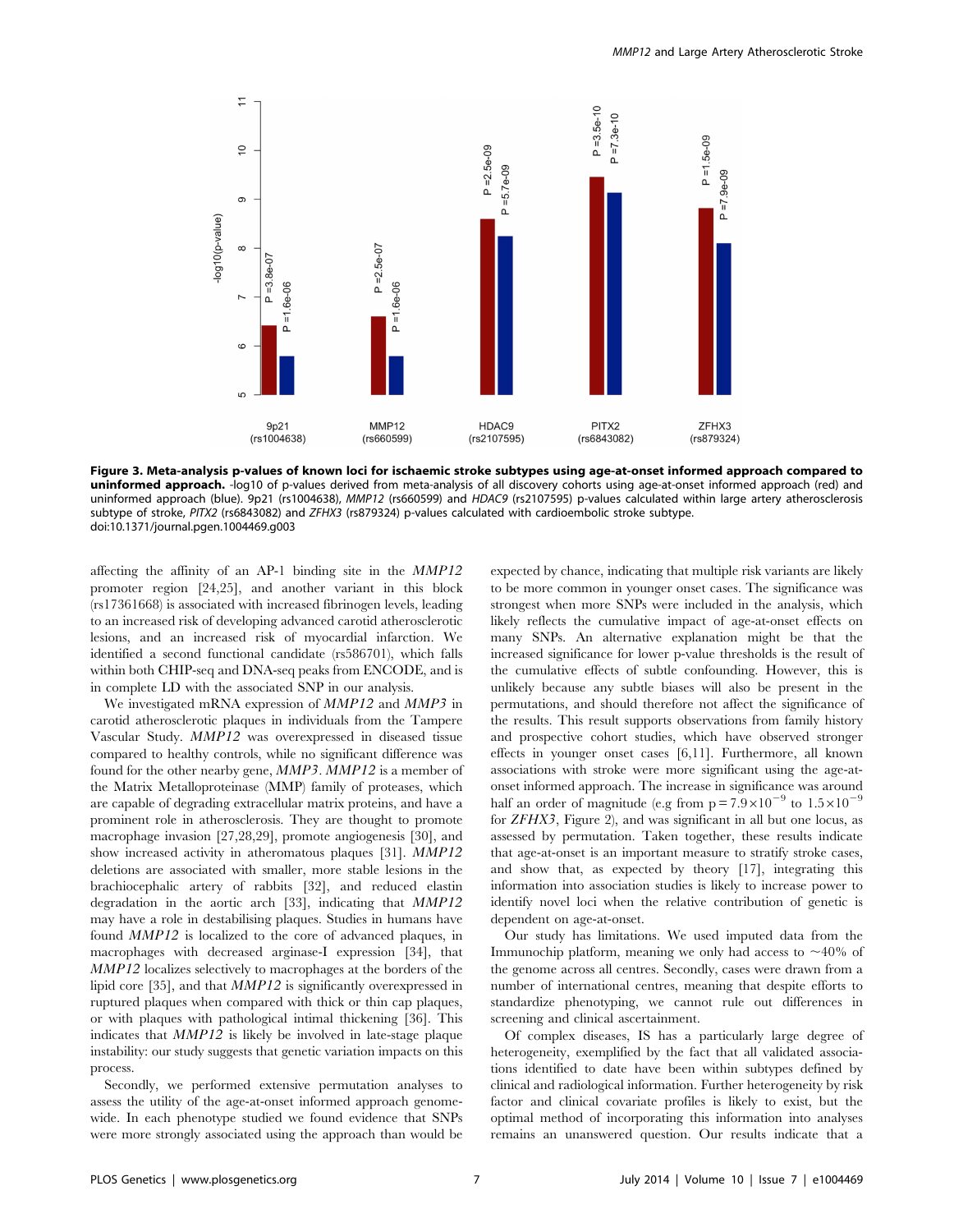

Figure 3. Meta-analysis p-values of known loci for ischaemic stroke subtypes using age-at-onset informed approach compared to uninformed approach. -log10 of p-values derived from meta-analysis of all discovery cohorts using age-at-onset informed approach (red) and uninformed approach (blue). 9p21 (rs1004638), MMP12 (rs660599) and HDAC9 (rs2107595) p-values calculated within large artery atherosclerosis subtype of stroke, PITX2 (rs6843082) and ZFHX3 (rs879324) p-values calculated with cardioembolic stroke subtype. doi:10.1371/journal.pgen.1004469.g003

affecting the affinity of an AP-1 binding site in the MMP12 promoter region [24,25], and another variant in this block (rs17361668) is associated with increased fibrinogen levels, leading to an increased risk of developing advanced carotid atherosclerotic lesions, and an increased risk of myocardial infarction. We identified a second functional candidate (rs586701), which falls within both CHIP-seq and DNA-seq peaks from ENCODE, and is in complete LD with the associated SNP in our analysis.

We investigated mRNA expression of MMP12 and MMP3 in carotid atherosclerotic plaques in individuals from the Tampere Vascular Study. MMP12 was overexpressed in diseased tissue compared to healthy controls, while no significant difference was found for the other nearby gene, MMP3. MMP12 is a member of the Matrix Metalloproteinase (MMP) family of proteases, which are capable of degrading extracellular matrix proteins, and have a prominent role in atherosclerosis. They are thought to promote macrophage invasion [27,28,29], promote angiogenesis [30], and show increased activity in atheromatous plaques [31]. MMP12 deletions are associated with smaller, more stable lesions in the brachiocephalic artery of rabbits [32], and reduced elastin degradation in the aortic arch [33], indicating that MMP12 may have a role in destabilising plaques. Studies in humans have found MMP12 is localized to the core of advanced plaques, in macrophages with decreased arginase-I expression [34], that MMP12 localizes selectively to macrophages at the borders of the lipid core [35], and that MMP12 is significantly overexpressed in ruptured plaques when compared with thick or thin cap plaques, or with plaques with pathological intimal thickening [36]. This indicates that MMP12 is likely be involved in late-stage plaque instability: our study suggests that genetic variation impacts on this process.

Secondly, we performed extensive permutation analyses to assess the utility of the age-at-onset informed approach genomewide. In each phenotype studied we found evidence that SNPs were more strongly associated using the approach than would be

expected by chance, indicating that multiple risk variants are likely to be more common in younger onset cases. The significance was strongest when more SNPs were included in the analysis, which likely reflects the cumulative impact of age-at-onset effects on many SNPs. An alternative explanation might be that the increased significance for lower p-value thresholds is the result of the cumulative effects of subtle confounding. However, this is unlikely because any subtle biases will also be present in the permutations, and should therefore not affect the significance of the results. This result supports observations from family history and prospective cohort studies, which have observed stronger effects in younger onset cases [6,11]. Furthermore, all known associations with stroke were more significant using the age-atonset informed approach. The increase in significance was around half an order of magnitude (e.g from  $p = 7.9 \times 10^{-9}$  to  $1.5 \times 10^{-9}$ for ZFHX3, Figure 2), and was significant in all but one locus, as assessed by permutation. Taken together, these results indicate that age-at-onset is an important measure to stratify stroke cases, and show that, as expected by theory [17], integrating this information into association studies is likely to increase power to identify novel loci when the relative contribution of genetic is dependent on age-at-onset.

Our study has limitations. We used imputed data from the Immunochip platform, meaning we only had access to  $\sim$ 40% of the genome across all centres. Secondly, cases were drawn from a number of international centres, meaning that despite efforts to standardize phenotyping, we cannot rule out differences in screening and clinical ascertainment.

Of complex diseases, IS has a particularly large degree of heterogeneity, exemplified by the fact that all validated associations identified to date have been within subtypes defined by clinical and radiological information. Further heterogeneity by risk factor and clinical covariate profiles is likely to exist, but the optimal method of incorporating this information into analyses remains an unanswered question. Our results indicate that a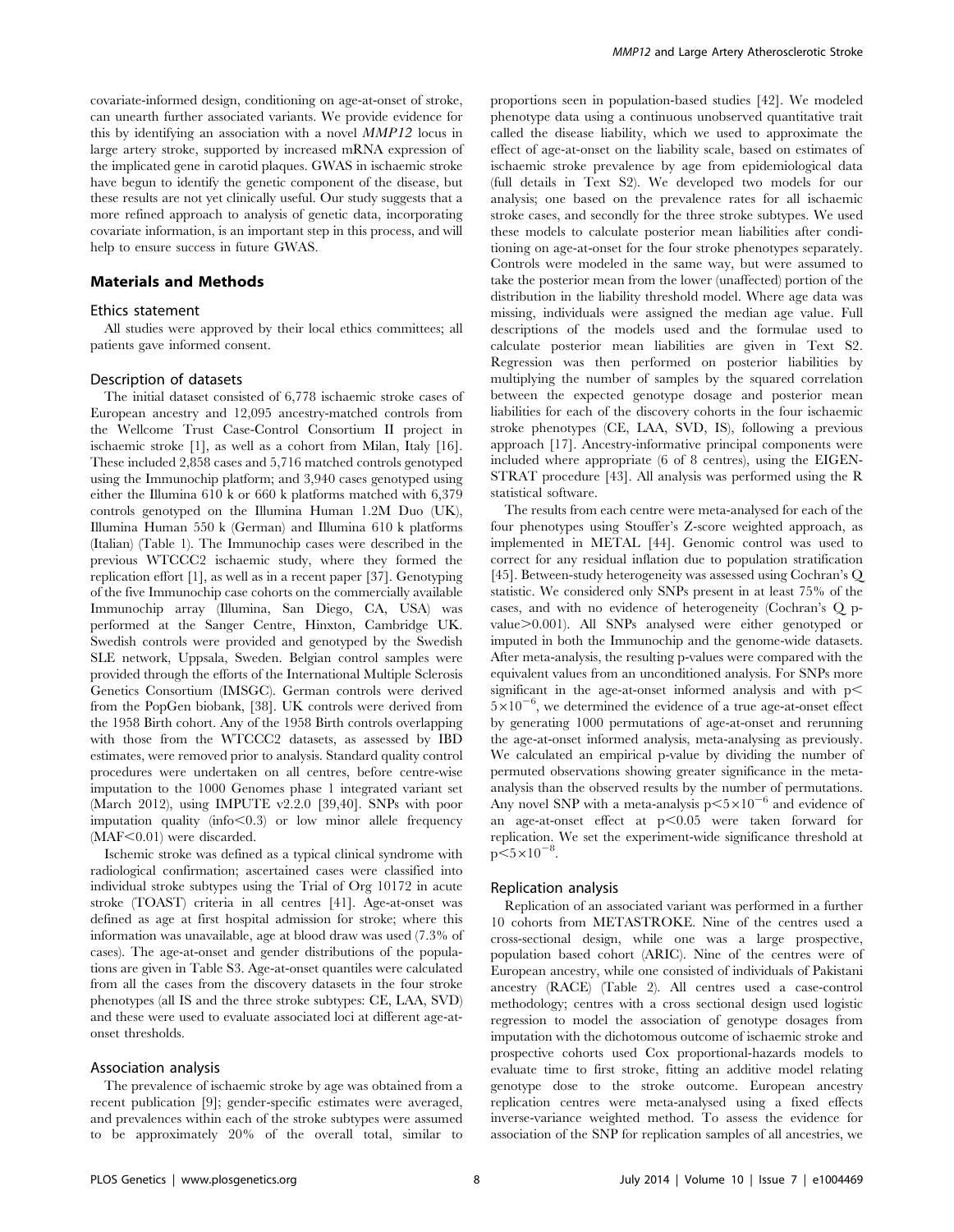covariate-informed design, conditioning on age-at-onset of stroke, can unearth further associated variants. We provide evidence for this by identifying an association with a novel MMP12 locus in large artery stroke, supported by increased mRNA expression of the implicated gene in carotid plaques. GWAS in ischaemic stroke have begun to identify the genetic component of the disease, but these results are not yet clinically useful. Our study suggests that a more refined approach to analysis of genetic data, incorporating covariate information, is an important step in this process, and will help to ensure success in future GWAS.

# Materials and Methods

#### Ethics statement

All studies were approved by their local ethics committees; all patients gave informed consent.

#### Description of datasets

The initial dataset consisted of 6,778 ischaemic stroke cases of European ancestry and 12,095 ancestry-matched controls from the Wellcome Trust Case-Control Consortium II project in ischaemic stroke [1], as well as a cohort from Milan, Italy [16]. These included 2,858 cases and 5,716 matched controls genotyped using the Immunochip platform; and 3,940 cases genotyped using either the Illumina 610 k or 660 k platforms matched with 6,379 controls genotyped on the Illumina Human 1.2M Duo (UK), Illumina Human 550 k (German) and Illumina 610 k platforms (Italian) (Table 1). The Immunochip cases were described in the previous WTCCC2 ischaemic study, where they formed the replication effort [1], as well as in a recent paper [37]. Genotyping of the five Immunochip case cohorts on the commercially available Immunochip array (Illumina, San Diego, CA, USA) was performed at the Sanger Centre, Hinxton, Cambridge UK. Swedish controls were provided and genotyped by the Swedish SLE network, Uppsala, Sweden. Belgian control samples were provided through the efforts of the International Multiple Sclerosis Genetics Consortium (IMSGC). German controls were derived from the PopGen biobank, [38]. UK controls were derived from the 1958 Birth cohort. Any of the 1958 Birth controls overlapping with those from the WTCCC2 datasets, as assessed by IBD estimates, were removed prior to analysis. Standard quality control procedures were undertaken on all centres, before centre-wise imputation to the 1000 Genomes phase 1 integrated variant set (March 2012), using IMPUTE v2.2.0 [39,40]. SNPs with poor imputation quality (info $\leq 0.3$ ) or low minor allele frequency  $(MAF<0.01)$  were discarded.

Ischemic stroke was defined as a typical clinical syndrome with radiological confirmation; ascertained cases were classified into individual stroke subtypes using the Trial of Org 10172 in acute stroke (TOAST) criteria in all centres [41]. Age-at-onset was defined as age at first hospital admission for stroke; where this information was unavailable, age at blood draw was used (7.3% of cases). The age-at-onset and gender distributions of the populations are given in Table S3. Age-at-onset quantiles were calculated from all the cases from the discovery datasets in the four stroke phenotypes (all IS and the three stroke subtypes: CE, LAA, SVD) and these were used to evaluate associated loci at different age-atonset thresholds.

# Association analysis

The prevalence of ischaemic stroke by age was obtained from a recent publication [9]; gender-specific estimates were averaged, and prevalences within each of the stroke subtypes were assumed to be approximately 20% of the overall total, similar to proportions seen in population-based studies [42]. We modeled phenotype data using a continuous unobserved quantitative trait called the disease liability, which we used to approximate the effect of age-at-onset on the liability scale, based on estimates of ischaemic stroke prevalence by age from epidemiological data (full details in Text S2). We developed two models for our analysis; one based on the prevalence rates for all ischaemic stroke cases, and secondly for the three stroke subtypes. We used these models to calculate posterior mean liabilities after conditioning on age-at-onset for the four stroke phenotypes separately. Controls were modeled in the same way, but were assumed to take the posterior mean from the lower (unaffected) portion of the distribution in the liability threshold model. Where age data was missing, individuals were assigned the median age value. Full descriptions of the models used and the formulae used to calculate posterior mean liabilities are given in Text S2. Regression was then performed on posterior liabilities by multiplying the number of samples by the squared correlation between the expected genotype dosage and posterior mean liabilities for each of the discovery cohorts in the four ischaemic stroke phenotypes (CE, LAA, SVD, IS), following a previous approach [17]. Ancestry-informative principal components were included where appropriate (6 of 8 centres), using the EIGEN-STRAT procedure [43]. All analysis was performed using the R statistical software.

The results from each centre were meta-analysed for each of the four phenotypes using Stouffer's Z-score weighted approach, as implemented in METAL [44]. Genomic control was used to correct for any residual inflation due to population stratification [45]. Between-study heterogeneity was assessed using Cochran's Q statistic. We considered only SNPs present in at least 75% of the cases, and with no evidence of heterogeneity (Cochran's Q pvalue $\geq$ 0.001). All SNPs analysed were either genotyped or imputed in both the Immunochip and the genome-wide datasets. After meta-analysis, the resulting p-values were compared with the equivalent values from an unconditioned analysis. For SNPs more significant in the age-at-onset informed analysis and with  $p<$  $5 \times 10^{-6}$ , we determined the evidence of a true age-at-onset effect by generating 1000 permutations of age-at-onset and rerunning the age-at-onset informed analysis, meta-analysing as previously. We calculated an empirical p-value by dividing the number of permuted observations showing greater significance in the metaanalysis than the observed results by the number of permutations. Any novel SNP with a meta-analysis  $p < 5 \times 10^{-6}$  and evidence of an age-at-onset effect at  $p<0.05$  were taken forward for replication. We set the experiment-wide significance threshold at  $p \leq 5 \times 10^{-8}$ .

#### Replication analysis

Replication of an associated variant was performed in a further 10 cohorts from METASTROKE. Nine of the centres used a cross-sectional design, while one was a large prospective, population based cohort (ARIC). Nine of the centres were of European ancestry, while one consisted of individuals of Pakistani ancestry (RACE) (Table 2). All centres used a case-control methodology; centres with a cross sectional design used logistic regression to model the association of genotype dosages from imputation with the dichotomous outcome of ischaemic stroke and prospective cohorts used Cox proportional-hazards models to evaluate time to first stroke, fitting an additive model relating genotype dose to the stroke outcome. European ancestry replication centres were meta-analysed using a fixed effects inverse-variance weighted method. To assess the evidence for association of the SNP for replication samples of all ancestries, we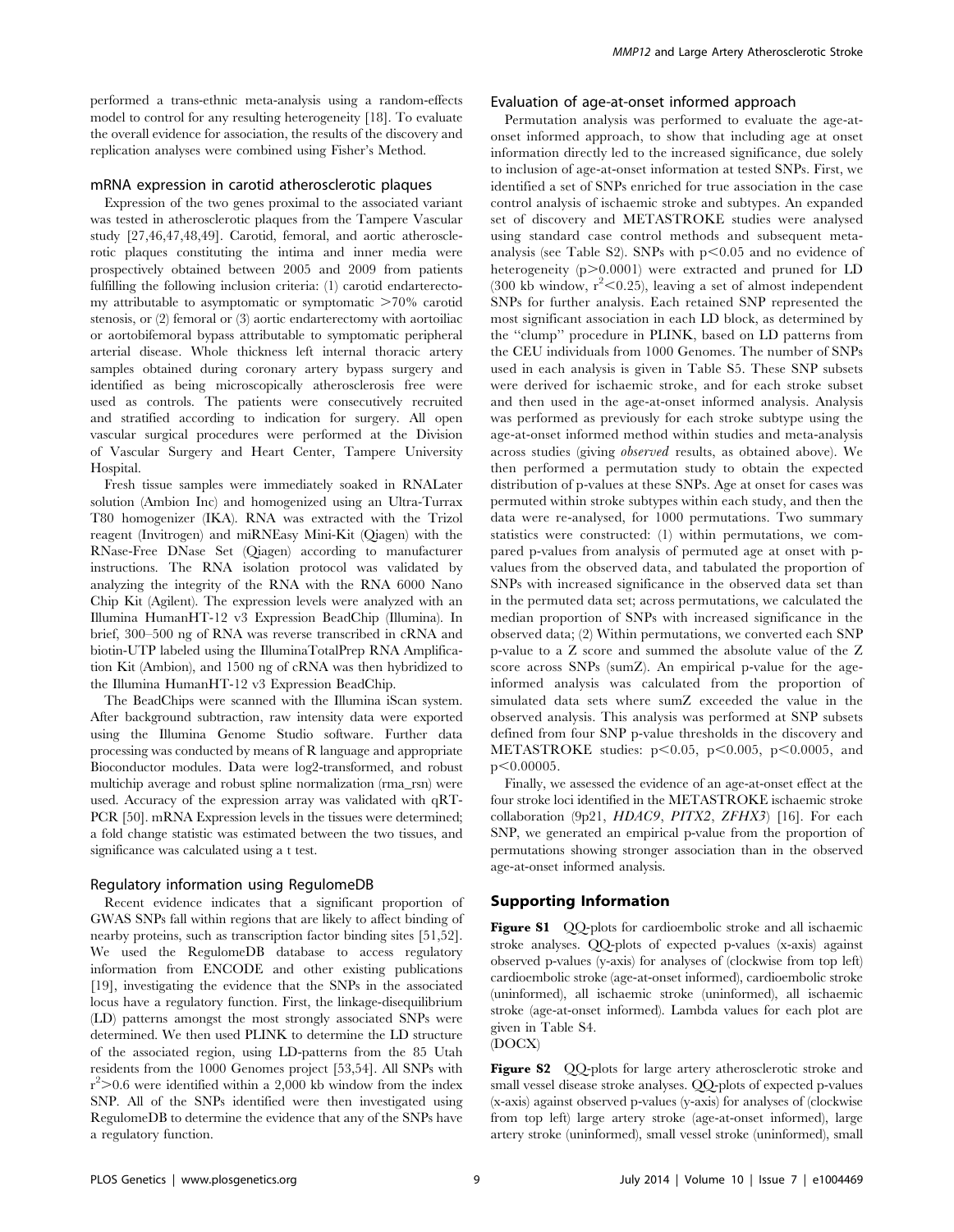performed a trans-ethnic meta-analysis using a random-effects model to control for any resulting heterogeneity [18]. To evaluate the overall evidence for association, the results of the discovery and replication analyses were combined using Fisher's Method.

# mRNA expression in carotid atherosclerotic plaques

Expression of the two genes proximal to the associated variant was tested in atherosclerotic plaques from the Tampere Vascular study [27,46,47,48,49]. Carotid, femoral, and aortic atherosclerotic plaques constituting the intima and inner media were prospectively obtained between 2005 and 2009 from patients fulfilling the following inclusion criteria: (1) carotid endarterectomy attributable to asymptomatic or symptomatic  $>70\%$  carotid stenosis, or (2) femoral or (3) aortic endarterectomy with aortoiliac or aortobifemoral bypass attributable to symptomatic peripheral arterial disease. Whole thickness left internal thoracic artery samples obtained during coronary artery bypass surgery and identified as being microscopically atherosclerosis free were used as controls. The patients were consecutively recruited and stratified according to indication for surgery. All open vascular surgical procedures were performed at the Division of Vascular Surgery and Heart Center, Tampere University Hospital.

Fresh tissue samples were immediately soaked in RNALater solution (Ambion Inc) and homogenized using an Ultra-Turrax T80 homogenizer (IKA). RNA was extracted with the Trizol reagent (Invitrogen) and miRNEasy Mini-Kit (Qiagen) with the RNase-Free DNase Set (Qiagen) according to manufacturer instructions. The RNA isolation protocol was validated by analyzing the integrity of the RNA with the RNA 6000 Nano Chip Kit (Agilent). The expression levels were analyzed with an Illumina HumanHT-12 v3 Expression BeadChip (Illumina). In brief, 300–500 ng of RNA was reverse transcribed in cRNA and biotin-UTP labeled using the IlluminaTotalPrep RNA Amplification Kit (Ambion), and 1500 ng of cRNA was then hybridized to the Illumina HumanHT-12 v3 Expression BeadChip.

The BeadChips were scanned with the Illumina iScan system. After background subtraction, raw intensity data were exported using the Illumina Genome Studio software. Further data processing was conducted by means of R language and appropriate Bioconductor modules. Data were log2-transformed, and robust multichip average and robust spline normalization (rma\_rsn) were used. Accuracy of the expression array was validated with qRT-PCR [50]. mRNA Expression levels in the tissues were determined; a fold change statistic was estimated between the two tissues, and significance was calculated using a t test.

#### Regulatory information using RegulomeDB

Recent evidence indicates that a significant proportion of GWAS SNPs fall within regions that are likely to affect binding of nearby proteins, such as transcription factor binding sites [51,52]. We used the RegulomeDB database to access regulatory information from ENCODE and other existing publications [19], investigating the evidence that the SNPs in the associated locus have a regulatory function. First, the linkage-disequilibrium (LD) patterns amongst the most strongly associated SNPs were determined. We then used PLINK to determine the LD structure of the associated region, using LD-patterns from the 85 Utah residents from the 1000 Genomes project [53,54]. All SNPs with  $r^2$  > 0.6 were identified within a 2,000 kb window from the index SNP. All of the SNPs identified were then investigated using RegulomeDB to determine the evidence that any of the SNPs have a regulatory function.

# Evaluation of age-at-onset informed approach

Permutation analysis was performed to evaluate the age-atonset informed approach, to show that including age at onset information directly led to the increased significance, due solely to inclusion of age-at-onset information at tested SNPs. First, we identified a set of SNPs enriched for true association in the case control analysis of ischaemic stroke and subtypes. An expanded set of discovery and METASTROKE studies were analysed using standard case control methods and subsequent metaanalysis (see Table S2). SNPs with  $p<0.05$  and no evidence of heterogeneity  $(p>0.0001)$  were extracted and pruned for LD (300 kb window,  $r^2$ <0.25), leaving a set of almost independent SNPs for further analysis. Each retained SNP represented the most significant association in each LD block, as determined by the ''clump'' procedure in PLINK, based on LD patterns from the CEU individuals from 1000 Genomes. The number of SNPs used in each analysis is given in Table S5. These SNP subsets were derived for ischaemic stroke, and for each stroke subset and then used in the age-at-onset informed analysis. Analysis was performed as previously for each stroke subtype using the age-at-onset informed method within studies and meta-analysis across studies (giving observed results, as obtained above). We then performed a permutation study to obtain the expected distribution of p-values at these SNPs. Age at onset for cases was permuted within stroke subtypes within each study, and then the data were re-analysed, for 1000 permutations. Two summary statistics were constructed: (1) within permutations, we compared p-values from analysis of permuted age at onset with pvalues from the observed data, and tabulated the proportion of SNPs with increased significance in the observed data set than in the permuted data set; across permutations, we calculated the median proportion of SNPs with increased significance in the observed data; (2) Within permutations, we converted each SNP p-value to a Z score and summed the absolute value of the Z score across SNPs (sumZ). An empirical p-value for the ageinformed analysis was calculated from the proportion of simulated data sets where sumZ exceeded the value in the observed analysis. This analysis was performed at SNP subsets defined from four SNP p-value thresholds in the discovery and METASTROKE studies:  $p<0.05$ ,  $p<0.005$ ,  $p<0.0005$ , and  $p<0.00005$ .

Finally, we assessed the evidence of an age-at-onset effect at the four stroke loci identified in the METASTROKE ischaemic stroke collaboration (9p21, HDAC9, PITX2, ZFHX3) [16]. For each SNP, we generated an empirical p-value from the proportion of permutations showing stronger association than in the observed age-at-onset informed analysis.

# Supporting Information

Figure S1 QQ-plots for cardioembolic stroke and all ischaemic stroke analyses. QQ-plots of expected p-values (x-axis) against observed p-values (y-axis) for analyses of (clockwise from top left) cardioembolic stroke (age-at-onset informed), cardioembolic stroke (uninformed), all ischaemic stroke (uninformed), all ischaemic stroke (age-at-onset informed). Lambda values for each plot are given in Table S4.

(DOCX)

Figure S2 QQ-plots for large artery atherosclerotic stroke and small vessel disease stroke analyses. QQ-plots of expected p-values (x-axis) against observed p-values (y-axis) for analyses of (clockwise from top left) large artery stroke (age-at-onset informed), large artery stroke (uninformed), small vessel stroke (uninformed), small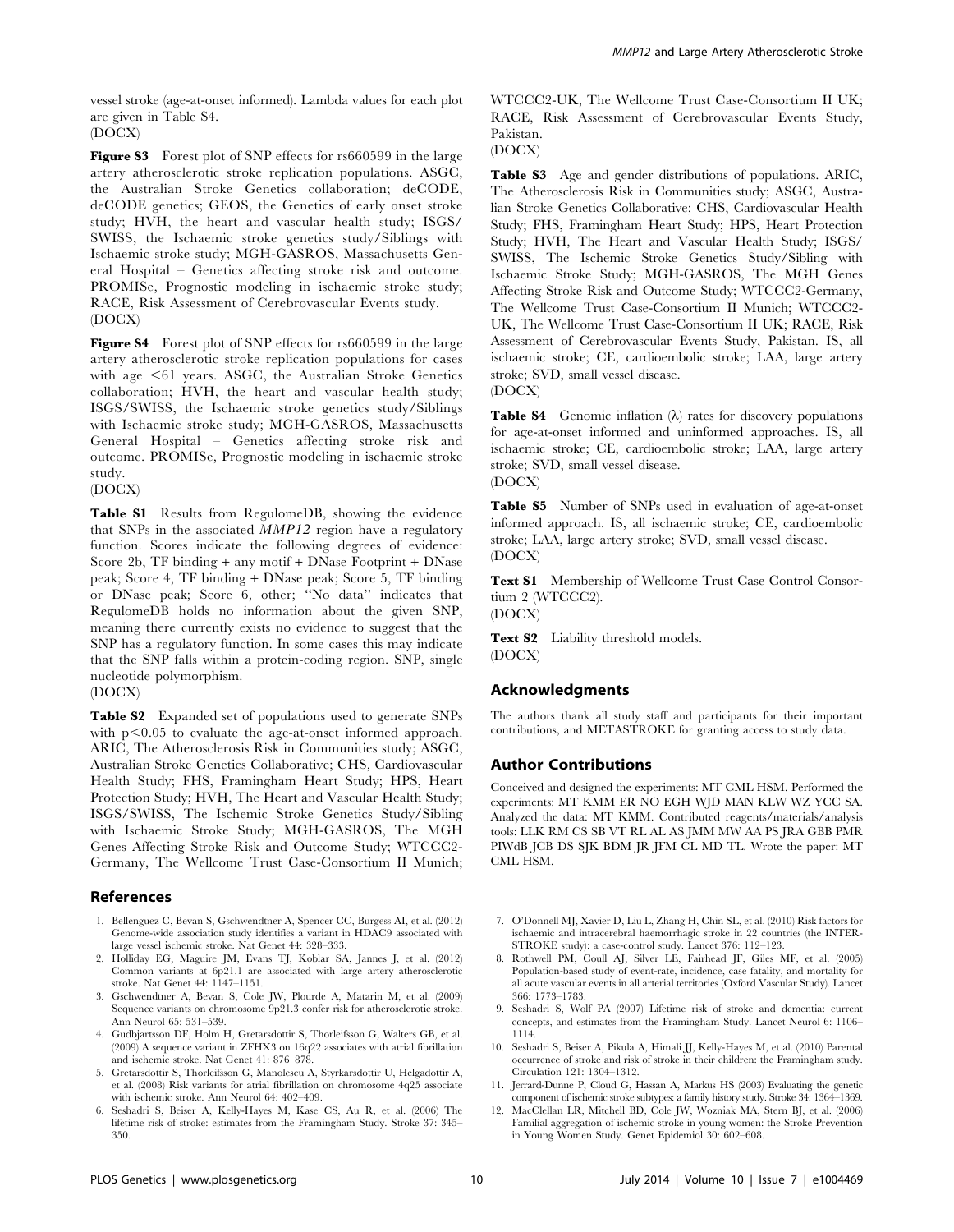vessel stroke (age-at-onset informed). Lambda values for each plot are given in Table S4. (DOCX)

Figure S3 Forest plot of SNP effects for rs660599 in the large artery atherosclerotic stroke replication populations. ASGC, the Australian Stroke Genetics collaboration; deCODE, deCODE genetics; GEOS, the Genetics of early onset stroke study; HVH, the heart and vascular health study; ISGS/ SWISS, the Ischaemic stroke genetics study/Siblings with Ischaemic stroke study; MGH-GASROS, Massachusetts General Hospital – Genetics affecting stroke risk and outcome. PROMISe, Prognostic modeling in ischaemic stroke study; RACE, Risk Assessment of Cerebrovascular Events study. (DOCX)

Figure S4 Forest plot of SNP effects for rs660599 in the large artery atherosclerotic stroke replication populations for cases with age  $\leq 61$  years. ASGC, the Australian Stroke Genetics collaboration; HVH, the heart and vascular health study; ISGS/SWISS, the Ischaemic stroke genetics study/Siblings with Ischaemic stroke study; MGH-GASROS, Massachusetts General Hospital – Genetics affecting stroke risk and outcome. PROMISe, Prognostic modeling in ischaemic stroke study.

#### (DOCX)

Table S1 Results from RegulomeDB, showing the evidence that SNPs in the associated MMP12 region have a regulatory function. Scores indicate the following degrees of evidence: Score 2b, TF binding + any motif + DNase Footprint + DNase peak; Score 4, TF binding + DNase peak; Score 5, TF binding or DNase peak; Score 6, other; ''No data'' indicates that RegulomeDB holds no information about the given SNP, meaning there currently exists no evidence to suggest that the SNP has a regulatory function. In some cases this may indicate that the SNP falls within a protein-coding region. SNP, single nucleotide polymorphism.

# (DOCX)

Table S2 Expanded set of populations used to generate SNPs with  $p<0.05$  to evaluate the age-at-onset informed approach. ARIC, The Atherosclerosis Risk in Communities study; ASGC, Australian Stroke Genetics Collaborative; CHS, Cardiovascular Health Study; FHS, Framingham Heart Study; HPS, Heart Protection Study; HVH, The Heart and Vascular Health Study; ISGS/SWISS, The Ischemic Stroke Genetics Study/Sibling with Ischaemic Stroke Study; MGH-GASROS, The MGH Genes Affecting Stroke Risk and Outcome Study; WTCCC2- Germany, The Wellcome Trust Case-Consortium II Munich;

# References

- 1. Bellenguez C, Bevan S, Gschwendtner A, Spencer CC, Burgess AI, et al. (2012) Genome-wide association study identifies a variant in HDAC9 associated with large vessel ischemic stroke. Nat Genet 44: 328–333.
- 2. Holliday EG, Maguire JM, Evans TJ, Koblar SA, Jannes J, et al. (2012) Common variants at 6p21.1 are associated with large artery atherosclerotic stroke. Nat Genet 44: 1147–1151.
- 3. Gschwendtner A, Bevan S, Cole JW, Plourde A, Matarin M, et al. (2009) Sequence variants on chromosome 9p21.3 confer risk for atherosclerotic stroke. Ann Neurol 65: 531–539.
- 4. Gudbjartsson DF, Holm H, Gretarsdottir S, Thorleifsson G, Walters GB, et al. (2009) A sequence variant in ZFHX3 on 16q22 associates with atrial fibrillation and ischemic stroke. Nat Genet 41: 876–878.
- 5. Gretarsdottir S, Thorleifsson G, Manolescu A, Styrkarsdottir U, Helgadottir A, et al. (2008) Risk variants for atrial fibrillation on chromosome 4q25 associate with ischemic stroke. Ann Neurol 64: 402–409.
- 6. Seshadri S, Beiser A, Kelly-Hayes M, Kase CS, Au R, et al. (2006) The lifetime risk of stroke: estimates from the Framingham Study. Stroke 37: 345– 350.

WTCCC2-UK, The Wellcome Trust Case-Consortium II UK; RACE, Risk Assessment of Cerebrovascular Events Study, Pakistan.

(DOCX)

Table S3 Age and gender distributions of populations. ARIC, The Atherosclerosis Risk in Communities study; ASGC, Australian Stroke Genetics Collaborative; CHS, Cardiovascular Health Study; FHS, Framingham Heart Study; HPS, Heart Protection Study; HVH, The Heart and Vascular Health Study; ISGS/ SWISS, The Ischemic Stroke Genetics Study/Sibling with Ischaemic Stroke Study; MGH-GASROS, The MGH Genes Affecting Stroke Risk and Outcome Study; WTCCC2-Germany, The Wellcome Trust Case-Consortium II Munich; WTCCC2- UK, The Wellcome Trust Case-Consortium II UK; RACE, Risk Assessment of Cerebrovascular Events Study, Pakistan. IS, all ischaemic stroke; CE, cardioembolic stroke; LAA, large artery stroke; SVD, small vessel disease.

(DOCX)

**Table S4** Genomic inflation  $(\lambda)$  rates for discovery populations for age-at-onset informed and uninformed approaches. IS, all ischaemic stroke; CE, cardioembolic stroke; LAA, large artery stroke; SVD, small vessel disease.

#### (DOCX)

Table S5 Number of SNPs used in evaluation of age-at-onset informed approach. IS, all ischaemic stroke; CE, cardioembolic stroke; LAA, large artery stroke; SVD, small vessel disease. (DOCX)

Text S1 Membership of Wellcome Trust Case Control Consortium 2 (WTCCC2).

(DOCX)

Text S2 Liability threshold models. (DOCX)

# Acknowledgments

The authors thank all study staff and participants for their important contributions, and METASTROKE for granting access to study data.

# Author Contributions

Conceived and designed the experiments: MT CML HSM. Performed the experiments: MT KMM ER NO EGH WJD MAN KLW WZ YCC SA. Analyzed the data: MT KMM. Contributed reagents/materials/analysis tools: LLK RM CS SB VT RL AL AS JMM MW AA PS JRA GBB PMR PIWdB JCB DS SJK BDM JR JFM CL MD TL. Wrote the paper: MT CML HSM.

- 7. O'Donnell MJ, Xavier D, Liu L, Zhang H, Chin SL, et al. (2010) Risk factors for ischaemic and intracerebral haemorrhagic stroke in 22 countries (the INTER-STROKE study): a case-control study. Lancet 376: 112–123.
- 8. Rothwell PM, Coull AJ, Silver LE, Fairhead JF, Giles MF, et al. (2005) Population-based study of event-rate, incidence, case fatality, and mortality for all acute vascular events in all arterial territories (Oxford Vascular Study). Lancet 366: 1773–1783.
- 9. Seshadri S, Wolf PA (2007) Lifetime risk of stroke and dementia: current concepts, and estimates from the Framingham Study. Lancet Neurol 6: 1106– 1114.
- 10. Seshadri S, Beiser A, Pikula A, Himali JJ, Kelly-Hayes M, et al. (2010) Parental occurrence of stroke and risk of stroke in their children: the Framingham study. Circulation 121: 1304–1312.
- 11. Jerrard-Dunne P, Cloud G, Hassan A, Markus HS (2003) Evaluating the genetic component of ischemic stroke subtypes: a family history study. Stroke 34: 1364–1369.
- 12. MacClellan LR, Mitchell BD, Cole JW, Wozniak MA, Stern BJ, et al. (2006) Familial aggregation of ischemic stroke in young women: the Stroke Prevention in Young Women Study. Genet Epidemiol 30: 602–608.